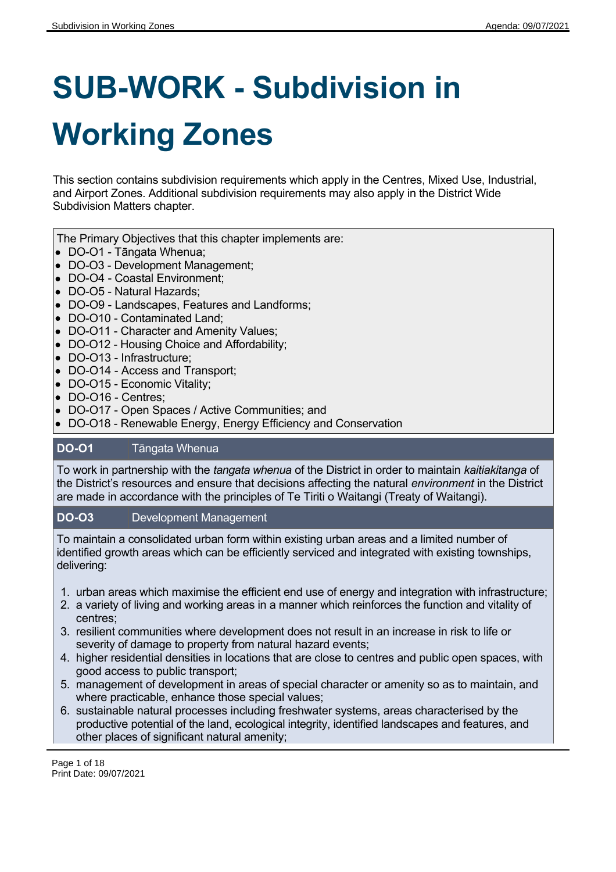# **SUB-WORK - Subdivision in Working Zones**

This section contains subdivision requirements which apply in the Centres, Mixed Use, Industrial, and Airport Zones. Additional subdivision requirements may also apply in the District Wide Subdivision Matters chapter.

The Primary Objectives that this chapter implements are:

- DO-O1 Tāngata Whenua;
- DO-O3 Development Management;
- DO-O4 Coastal Environment;
- DO-O5 Natural Hazards;
- DO-O9 Landscapes, Features and Landforms;
- DO-O10 Contaminated Land;
- DO-O11 Character and Amenity Values;
- DO-O12 Housing Choice and Affordability;
- DO-O13 Infrastructure;
- DO-O14 Access and Transport;
- DO-O15 Economic Vitality;
- DO-O16 Centres;
- DO-O17 Open Spaces / Active Communities; and
- DO-O18 Renewable Energy, Energy Efficiency and Conservation

#### **DO-O1** Tāngata Whenua

To work in partnership with the *tangata whenua* of the District in order to maintain *kaitiakitanga* of the District's resources and ensure that decisions affecting the natural *environment* in the District are made in accordance with the principles of Te Tiriti o Waitangi (Treaty of Waitangi).

#### **DO-O3** Development Management

To maintain a consolidated urban form within existing urban areas and a limited number of identified growth areas which can be efficiently serviced and integrated with existing townships, delivering:

- 1. urban areas which maximise the efficient end use of energy and integration with infrastructure;
- 2. a variety of living and working areas in a manner which reinforces the function and vitality of centres;
- 3. resilient communities where development does not result in an increase in risk to life or severity of damage to property from natural hazard events;
- 4. higher residential densities in locations that are close to centres and public open spaces, with good access to public transport;
- 5. management of development in areas of special character or amenity so as to maintain, and where practicable, enhance those special values;
- 6. sustainable natural processes including freshwater systems, areas characterised by the productive potential of the land, ecological integrity, identified landscapes and features, and other places of significant natural amenity;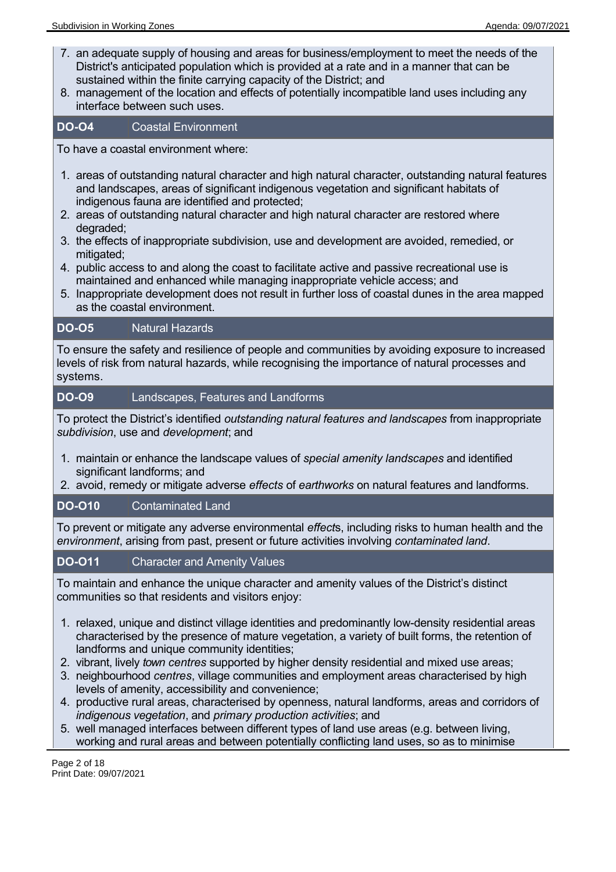- 7. an adequate supply of housing and areas for business/employment to meet the needs of the District's anticipated population which is provided at a rate and in a manner that can be sustained within the finite carrying capacity of the District; and
- 8. management of the location and effects of potentially incompatible land uses including any interface between such uses.

## **DO-O4** Coastal Environment

To have a coastal environment where:

- 1. areas of outstanding natural character and high natural character, outstanding natural features and landscapes, areas of significant indigenous vegetation and significant habitats of indigenous fauna are identified and protected;
- 2. areas of outstanding natural character and high natural character are restored where degraded;
- 3. the effects of inappropriate subdivision, use and development are avoided, remedied, or mitigated;
- 4. public access to and along the coast to facilitate active and passive recreational use is maintained and enhanced while managing inappropriate vehicle access; and
- 5. Inappropriate development does not result in further loss of coastal dunes in the area mapped as the coastal environment.

# **DO-O5** Natural Hazards

To ensure the safety and resilience of people and communities by avoiding exposure to increased levels of risk from natural hazards, while recognising the importance of natural processes and systems.

# **DO-O9** Landscapes, Features and Landforms

To protect the District's identified *outstanding natural features and landscapes* from inappropriate *subdivision*, use and *development*; and

- 1. maintain or enhance the landscape values of *special amenity landscapes* and identified significant landforms; and
- 2. avoid, remedy or mitigate adverse *effects* of *earthworks* on natural features and landforms.

# **DO-O10** Contaminated Land

To prevent or mitigate any adverse environmental *effect*s, including risks to human health and the *environment*, arising from past, present or future activities involving *contaminated land*.

# **DO-O11** Character and Amenity Values

To maintain and enhance the unique character and amenity values of the District's distinct communities so that residents and visitors enjoy:

- 1. relaxed, unique and distinct village identities and predominantly low-density residential areas characterised by the presence of mature vegetation, a variety of built forms, the retention of landforms and unique community identities;
- 2. vibrant, lively *town centres* supported by higher density residential and mixed use areas;
- 3. neighbourhood *centres*, village communities and employment areas characterised by high levels of amenity, accessibility and convenience;
- 4. productive rural areas, characterised by openness, natural landforms, areas and corridors of *indigenous vegetation*, and *primary production activities*; and
- 5. well managed interfaces between different types of land use areas (e.g. between living, working and rural areas and between potentially conflicting land uses, so as to minimise

Page 2 of 18 Print Date: 09/07/2021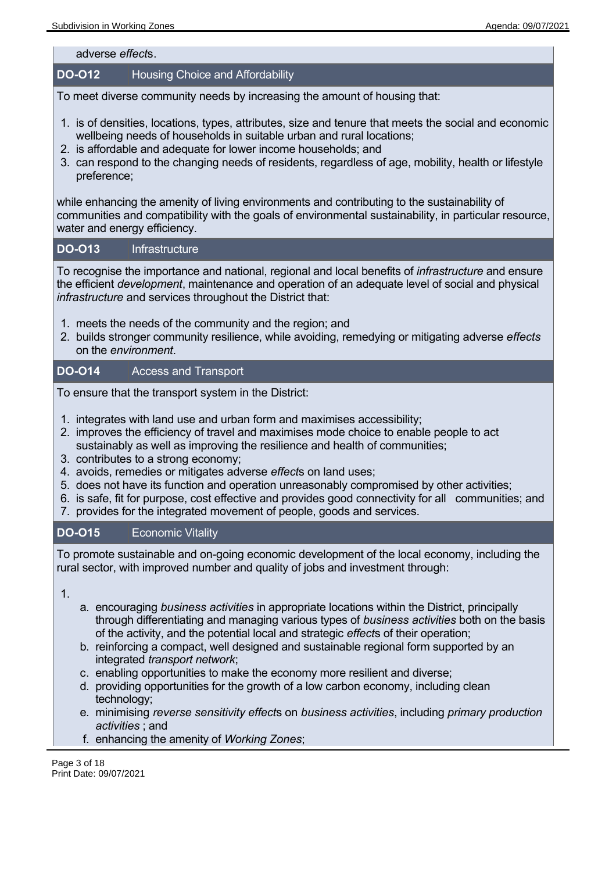adverse *effect*s.

#### **DO-O12** Housing Choice and Affordability

To meet diverse community needs by increasing the amount of housing that:

- 1. is of densities, locations, types, attributes, size and tenure that meets the social and economic wellbeing needs of households in suitable urban and rural locations;
- 2. is affordable and adequate for lower income households; and
- 3. can respond to the changing needs of residents, regardless of age, mobility, health or lifestyle preference;

while enhancing the amenity of living environments and contributing to the sustainability of communities and compatibility with the goals of environmental sustainability, in particular resource, water and energy efficiency.

#### **DO-O13** Infrastructure

To recognise the importance and national, regional and local benefits of *infrastructure* and ensure the efficient *development*, maintenance and operation of an adequate level of social and physical *infrastructure* and services throughout the District that:

- 1. meets the needs of the community and the region; and
- 2. builds stronger community resilience, while avoiding, remedying or mitigating adverse *effects* on the *environment*.

#### **DO-O14** Access and Transport

To ensure that the transport system in the District:

- 1. integrates with land use and urban form and maximises accessibility;
- 2. improves the efficiency of travel and maximises mode choice to enable people to act sustainably as well as improving the resilience and health of communities;
- 3. contributes to a strong economy;
- 4. avoids, remedies or mitigates adverse *effect*s on land uses;
- 5. does not have its function and operation unreasonably compromised by other activities;
- 6. is safe, fit for purpose, cost effective and provides good connectivity for all communities; and
- 7. provides for the integrated movement of people, goods and services.

#### **DO-O15** Economic Vitality

To promote sustainable and on-going economic development of the local economy, including the rural sector, with improved number and quality of jobs and investment through:

1.

- a. encouraging *business activities* in appropriate locations within the District, principally through differentiating and managing various types of *business activities* both on the basis of the activity, and the potential local and strategic *effect*s of their operation;
- b. reinforcing a compact, well designed and sustainable regional form supported by an integrated *transport network*;
- c. enabling opportunities to make the economy more resilient and diverse;
- d. providing opportunities for the growth of a low carbon economy, including clean technology;
- e. minimising *reverse sensitivity effect*s on *business activities*, including *primary production activities* ; and
- f. enhancing the amenity of *Working Zones*;

Page 3 of 18 Print Date: 09/07/2021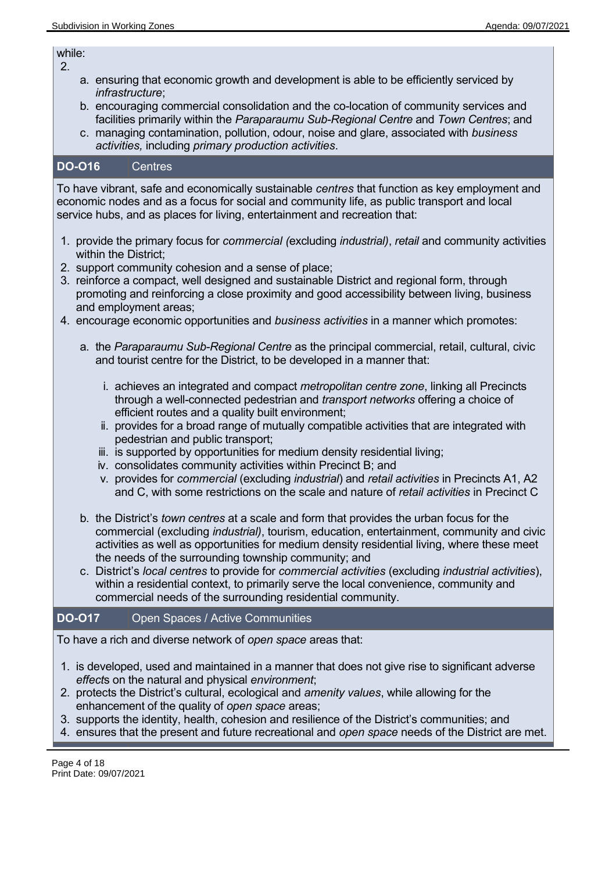while: 2.

- a. ensuring that economic growth and development is able to be efficiently serviced by *infrastructure*;
- b. encouraging commercial consolidation and the co-location of community services and facilities primarily within the *Paraparaumu Sub-Regional Centre* and *Town Centres*; and
- c. managing contamination, pollution, odour, noise and glare, associated with *business activities,* including *primary production activities*.

#### **DO-O16** Centres

To have vibrant, safe and economically sustainable *centres* that function as key employment and economic nodes and as a focus for social and community life, as public transport and local service hubs, and as places for living, entertainment and recreation that:

- 1. provide the primary focus for *commercial (*excluding *industrial)*, *retail* and community activities within the District;
- 2. support community cohesion and a sense of place;
- 3. reinforce a compact, well designed and sustainable District and regional form, through promoting and reinforcing a close proximity and good accessibility between living, business and employment areas;
- 4. encourage economic opportunities and *business activities* in a manner which promotes:
	- a. the *Paraparaumu Sub-Regional Centre* as the principal commercial, retail, cultural, civic and tourist centre for the District, to be developed in a manner that:
		- i. achieves an integrated and compact *metropolitan centre zone*, linking all Precincts through a well-connected pedestrian and *transport networks* offering a choice of efficient routes and a quality built environment;
		- ii. provides for a broad range of mutually compatible activities that are integrated with pedestrian and public transport;
		- iii. is supported by opportunities for medium density residential living;
		- iv. consolidates community activities within Precinct B; and
		- v. provides for *commercial* (excluding *industrial*) and *retail activities* in Precincts A1, A2 and C, with some restrictions on the scale and nature of *retail activities* in Precinct C
	- b. the District's *town centres* at a scale and form that provides the urban focus for the commercial (excluding *industrial)*, tourism, education, entertainment, community and civic activities as well as opportunities for medium density residential living, where these meet the needs of the surrounding township community; and
	- c. District's *local centres* to provide for *commercial activities* (excluding *industrial activities*), within a residential context, to primarily serve the local convenience, community and commercial needs of the surrounding residential community.

#### **DO-O17** Open Spaces / Active Communities

To have a rich and diverse network of *open space* areas that:

- 1. is developed, used and maintained in a manner that does not give rise to significant adverse *effect*s on the natural and physical *environment*;
- 2. protects the District's cultural, ecological and *amenity values*, while allowing for the enhancement of the quality of *open space* areas;
- 3. supports the identity, health, cohesion and resilience of the District's communities; and
- 4. ensures that the present and future recreational and *open space* needs of the District are met.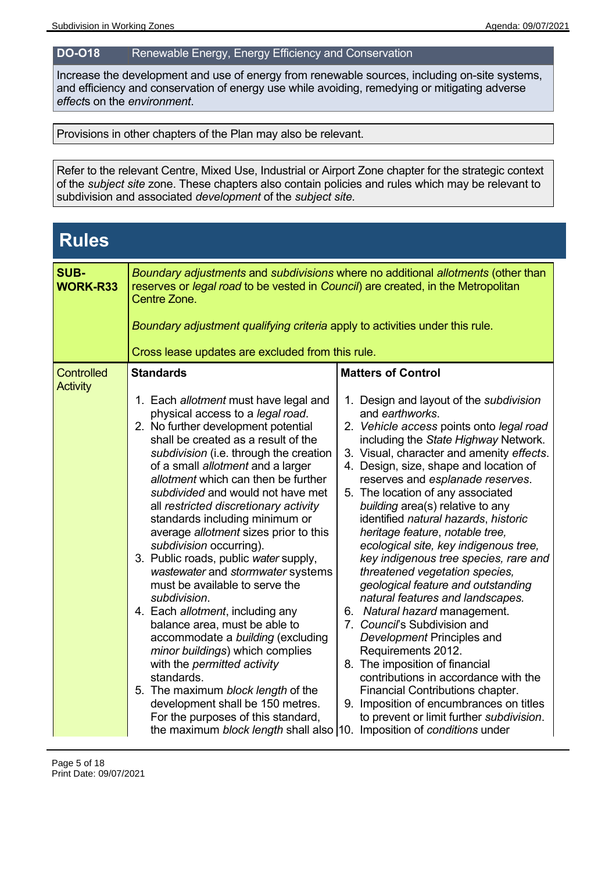### **DO-O18** Renewable Energy, Energy Efficiency and Conservation

Increase the development and use of energy from renewable sources, including on-site systems, and efficiency and conservation of energy use while avoiding, remedying or mitigating adverse *effect*s on the *environment*.

Provisions in other chapters of the Plan may also be relevant.

Refer to the relevant Centre, Mixed Use, Industrial or Airport Zone chapter for the strategic context of the *subject site* zone. These chapters also contain policies and rules which may be relevant to subdivision and associated *development* of the *subject site.*

| <b>Rules</b>                         |                                                                                                                                                                                                                                                                                                                                                                                                                                                                                                                                                                                                                                                                                                                                                                                                                                                                                                                                                                                                           |                                                                                                                                                                                                                                                                                                                                                                                                                                                                                                                                                                                                                                                                                                                                                                                                                                                                                                                                                                                    |
|--------------------------------------|-----------------------------------------------------------------------------------------------------------------------------------------------------------------------------------------------------------------------------------------------------------------------------------------------------------------------------------------------------------------------------------------------------------------------------------------------------------------------------------------------------------------------------------------------------------------------------------------------------------------------------------------------------------------------------------------------------------------------------------------------------------------------------------------------------------------------------------------------------------------------------------------------------------------------------------------------------------------------------------------------------------|------------------------------------------------------------------------------------------------------------------------------------------------------------------------------------------------------------------------------------------------------------------------------------------------------------------------------------------------------------------------------------------------------------------------------------------------------------------------------------------------------------------------------------------------------------------------------------------------------------------------------------------------------------------------------------------------------------------------------------------------------------------------------------------------------------------------------------------------------------------------------------------------------------------------------------------------------------------------------------|
| <b>SUB-</b><br>WORK-R33              | Boundary adjustments and subdivisions where no additional allotments (other than<br>reserves or legal road to be vested in Council) are created, in the Metropolitan<br>Centre Zone.<br>Boundary adjustment qualifying criteria apply to activities under this rule.<br>Cross lease updates are excluded from this rule.                                                                                                                                                                                                                                                                                                                                                                                                                                                                                                                                                                                                                                                                                  |                                                                                                                                                                                                                                                                                                                                                                                                                                                                                                                                                                                                                                                                                                                                                                                                                                                                                                                                                                                    |
| <b>Controlled</b><br><b>Activity</b> | <b>Standards</b><br>1. Each allotment must have legal and<br>physical access to a legal road.<br>2. No further development potential<br>shall be created as a result of the<br>subdivision (i.e. through the creation<br>of a small allotment and a larger<br>allotment which can then be further<br>subdivided and would not have met<br>all restricted discretionary activity<br>standards including minimum or<br>average allotment sizes prior to this<br>subdivision occurring).<br>3. Public roads, public water supply,<br>wastewater and stormwater systems<br>must be available to serve the<br>subdivision.<br>4. Each allotment, including any<br>balance area, must be able to<br>accommodate a building (excluding<br>minor buildings) which complies<br>with the permitted activity<br>standards.<br>5. The maximum block length of the<br>development shall be 150 metres.<br>For the purposes of this standard,<br>the maximum block length shall also 10. Imposition of conditions under | <b>Matters of Control</b><br>1. Design and layout of the subdivision<br>and earthworks.<br>2. Vehicle access points onto legal road<br>including the State Highway Network.<br>3. Visual, character and amenity effects.<br>4. Design, size, shape and location of<br>reserves and esplanade reserves.<br>5. The location of any associated<br>building area(s) relative to any<br>identified natural hazards, historic<br>heritage feature, notable tree,<br>ecological site, key indigenous tree,<br>key indigenous tree species, rare and<br>threatened vegetation species,<br>geological feature and outstanding<br>natural features and landscapes.<br>6. Natural hazard management.<br>7. Council's Subdivision and<br>Development Principles and<br>Requirements 2012.<br>8. The imposition of financial<br>contributions in accordance with the<br>Financial Contributions chapter.<br>9. Imposition of encumbrances on titles<br>to prevent or limit further subdivision. |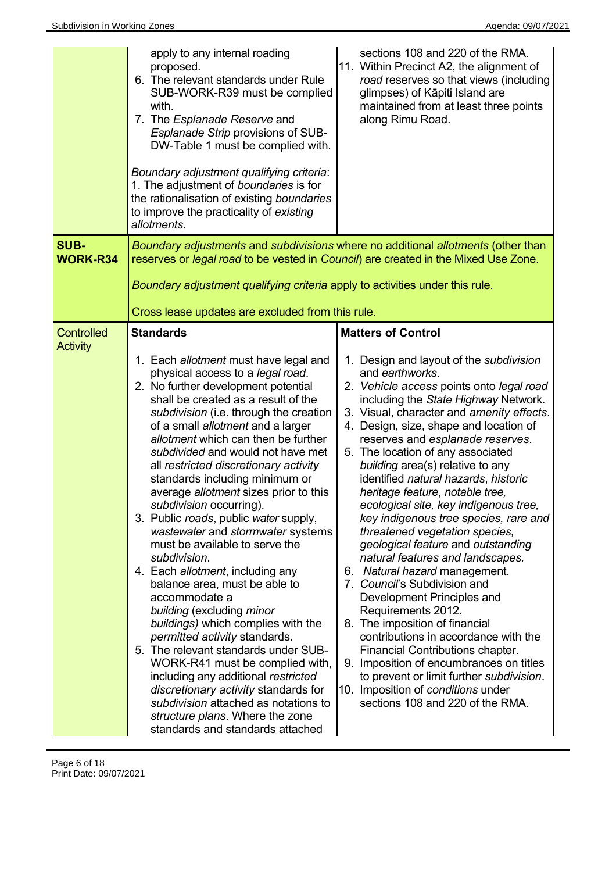|                                | apply to any internal roading<br>proposed.<br>6. The relevant standards under Rule<br>SUB-WORK-R39 must be complied<br>with.<br>7. The Esplanade Reserve and<br>Esplanade Strip provisions of SUB-<br>DW-Table 1 must be complied with.<br>Boundary adjustment qualifying criteria:<br>1. The adjustment of boundaries is for<br>the rationalisation of existing boundaries<br>to improve the practicality of existing<br>allotments.                                                                                                                                                                                                                                                                                                                                                                                                                                                                                                                                                                                                                                       | sections 108 and 220 of the RMA.<br>11. Within Precinct A2, the alignment of<br>road reserves so that views (including<br>glimpses) of Kāpiti Island are<br>maintained from at least three points<br>along Rimu Road.                                                                                                                                                                                                                                                                                                                                                                                                                                                                                                                                                                                                                                                                                                                                                                                                              |
|--------------------------------|-----------------------------------------------------------------------------------------------------------------------------------------------------------------------------------------------------------------------------------------------------------------------------------------------------------------------------------------------------------------------------------------------------------------------------------------------------------------------------------------------------------------------------------------------------------------------------------------------------------------------------------------------------------------------------------------------------------------------------------------------------------------------------------------------------------------------------------------------------------------------------------------------------------------------------------------------------------------------------------------------------------------------------------------------------------------------------|------------------------------------------------------------------------------------------------------------------------------------------------------------------------------------------------------------------------------------------------------------------------------------------------------------------------------------------------------------------------------------------------------------------------------------------------------------------------------------------------------------------------------------------------------------------------------------------------------------------------------------------------------------------------------------------------------------------------------------------------------------------------------------------------------------------------------------------------------------------------------------------------------------------------------------------------------------------------------------------------------------------------------------|
| <b>SUB-</b><br><b>WORK-R34</b> | reserves or legal road to be vested in Council) are created in the Mixed Use Zone.                                                                                                                                                                                                                                                                                                                                                                                                                                                                                                                                                                                                                                                                                                                                                                                                                                                                                                                                                                                          | Boundary adjustments and subdivisions where no additional allotments (other than                                                                                                                                                                                                                                                                                                                                                                                                                                                                                                                                                                                                                                                                                                                                                                                                                                                                                                                                                   |
|                                | Boundary adjustment qualifying criteria apply to activities under this rule.                                                                                                                                                                                                                                                                                                                                                                                                                                                                                                                                                                                                                                                                                                                                                                                                                                                                                                                                                                                                |                                                                                                                                                                                                                                                                                                                                                                                                                                                                                                                                                                                                                                                                                                                                                                                                                                                                                                                                                                                                                                    |
|                                | Cross lease updates are excluded from this rule.                                                                                                                                                                                                                                                                                                                                                                                                                                                                                                                                                                                                                                                                                                                                                                                                                                                                                                                                                                                                                            |                                                                                                                                                                                                                                                                                                                                                                                                                                                                                                                                                                                                                                                                                                                                                                                                                                                                                                                                                                                                                                    |
| <b>Controlled</b>              | <b>Standards</b>                                                                                                                                                                                                                                                                                                                                                                                                                                                                                                                                                                                                                                                                                                                                                                                                                                                                                                                                                                                                                                                            | <b>Matters of Control</b>                                                                                                                                                                                                                                                                                                                                                                                                                                                                                                                                                                                                                                                                                                                                                                                                                                                                                                                                                                                                          |
| <b>Activity</b>                | 1. Each allotment must have legal and<br>physical access to a legal road.<br>2. No further development potential<br>shall be created as a result of the<br>subdivision (i.e. through the creation<br>of a small allotment and a larger<br>allotment which can then be further<br>subdivided and would not have met<br>all restricted discretionary activity<br>standards including minimum or<br>average allotment sizes prior to this<br>subdivision occurring).<br>3. Public roads, public water supply,<br>wastewater and stormwater systems<br>must be available to serve the<br>subdivision.<br>4. Each allotment, including any<br>balance area, must be able to<br>accommodate a<br>building (excluding minor<br>buildings) which complies with the<br><i>permitted activity standards.</i><br>5. The relevant standards under SUB-<br>WORK-R41 must be complied with,<br>including any additional restricted<br>discretionary activity standards for<br>subdivision attached as notations to<br>structure plans. Where the zone<br>standards and standards attached | 1. Design and layout of the subdivision<br>and earthworks.<br>2. Vehicle access points onto legal road<br>including the State Highway Network.<br>3. Visual, character and amenity effects.<br>4. Design, size, shape and location of<br>reserves and esplanade reserves.<br>5. The location of any associated<br>building area(s) relative to any<br>identified natural hazards, historic<br>heritage feature, notable tree,<br>ecological site, key indigenous tree,<br>key indigenous tree species, rare and<br>threatened vegetation species,<br>geological feature and outstanding<br>natural features and landscapes.<br>Natural hazard management.<br>6.<br>7. Council's Subdivision and<br>Development Principles and<br>Requirements 2012.<br>8. The imposition of financial<br>contributions in accordance with the<br>Financial Contributions chapter.<br>9. Imposition of encumbrances on titles<br>to prevent or limit further subdivision.<br>10. Imposition of conditions under<br>sections 108 and 220 of the RMA. |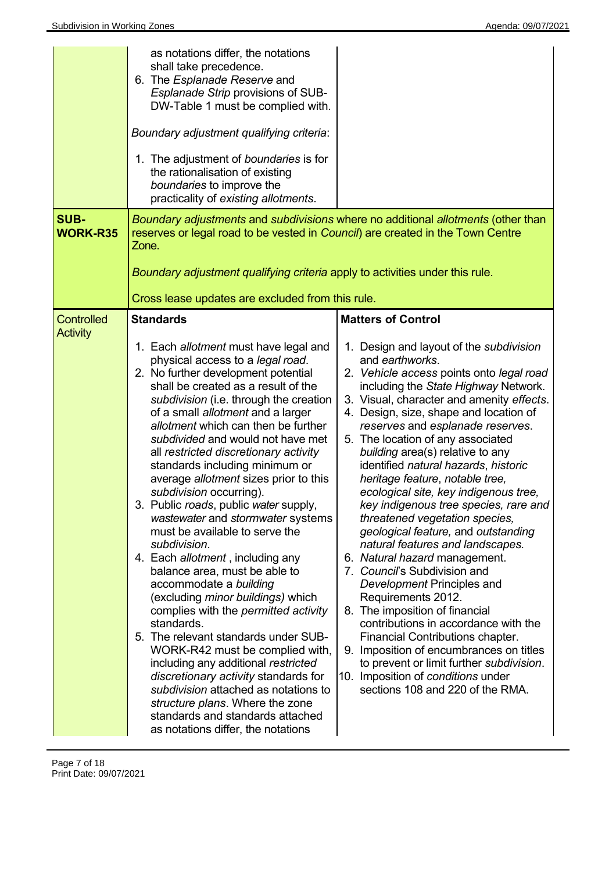|                                      | as notations differ, the notations<br>shall take precedence.<br>6. The <i>Esplanade Reserve</i> and<br>Esplanade Strip provisions of SUB-<br>DW-Table 1 must be complied with.<br>Boundary adjustment qualifying criteria:<br>1. The adjustment of boundaries is for<br>the rationalisation of existing<br>boundaries to improve the<br>practicality of existing allotments.                                                                                                                                                                                                                                                                                                                                                                                                                                                                                                                                                                                                                                                                                                                                                       |                                                                                                                                                                                                                                                                                                                                                                                                                                                                                                                                                                                                                                                                                                                                                                                                                                                                                                                                                                                                                                                               |
|--------------------------------------|------------------------------------------------------------------------------------------------------------------------------------------------------------------------------------------------------------------------------------------------------------------------------------------------------------------------------------------------------------------------------------------------------------------------------------------------------------------------------------------------------------------------------------------------------------------------------------------------------------------------------------------------------------------------------------------------------------------------------------------------------------------------------------------------------------------------------------------------------------------------------------------------------------------------------------------------------------------------------------------------------------------------------------------------------------------------------------------------------------------------------------|---------------------------------------------------------------------------------------------------------------------------------------------------------------------------------------------------------------------------------------------------------------------------------------------------------------------------------------------------------------------------------------------------------------------------------------------------------------------------------------------------------------------------------------------------------------------------------------------------------------------------------------------------------------------------------------------------------------------------------------------------------------------------------------------------------------------------------------------------------------------------------------------------------------------------------------------------------------------------------------------------------------------------------------------------------------|
| <b>SUB-</b><br><b>WORK-R35</b>       | reserves or legal road to be vested in Council) are created in the Town Centre<br>Zone.<br>Boundary adjustment qualifying criteria apply to activities under this rule.<br>Cross lease updates are excluded from this rule.                                                                                                                                                                                                                                                                                                                                                                                                                                                                                                                                                                                                                                                                                                                                                                                                                                                                                                        | Boundary adjustments and subdivisions where no additional allotments (other than                                                                                                                                                                                                                                                                                                                                                                                                                                                                                                                                                                                                                                                                                                                                                                                                                                                                                                                                                                              |
| <b>Controlled</b><br><b>Activity</b> | <b>Standards</b><br>1. Each allotment must have legal and<br>physical access to a legal road.<br>2. No further development potential<br>shall be created as a result of the<br>subdivision (i.e. through the creation<br>of a small allotment and a larger<br>allotment which can then be further<br>subdivided and would not have met<br>all restricted discretionary activity<br>standards including minimum or<br>average allotment sizes prior to this<br>subdivision occurring).<br>Public roads, public water supply,<br>wastewater and stormwater systems<br>must be available to serve the<br>subdivision.<br>4. Each allotment, including any<br>balance area, must be able to<br>accommodate a building<br>(excluding minor buildings) which<br>complies with the <i>permitted activity</i><br>standards.<br>5. The relevant standards under SUB-<br>WORK-R42 must be complied with,<br>including any additional restricted<br>discretionary activity standards for<br>subdivision attached as notations to<br>structure plans. Where the zone<br>standards and standards attached<br>as notations differ, the notations | <b>Matters of Control</b><br>1. Design and layout of the subdivision<br>and earthworks.<br>2. Vehicle access points onto legal road<br>including the State Highway Network.<br>3. Visual, character and amenity effects.<br>4. Design, size, shape and location of<br>reserves and esplanade reserves.<br>5. The location of any associated<br>building area(s) relative to any<br>identified natural hazards, historic<br>heritage feature, notable tree,<br>ecological site, key indigenous tree,<br>key indigenous tree species, rare and<br>threatened vegetation species,<br>geological feature, and outstanding<br>natural features and landscapes.<br>6. Natural hazard management.<br>7. Council's Subdivision and<br>Development Principles and<br>Requirements 2012.<br>8. The imposition of financial<br>contributions in accordance with the<br>Financial Contributions chapter.<br>9. Imposition of encumbrances on titles<br>to prevent or limit further subdivision.<br>10. Imposition of conditions under<br>sections 108 and 220 of the RMA. |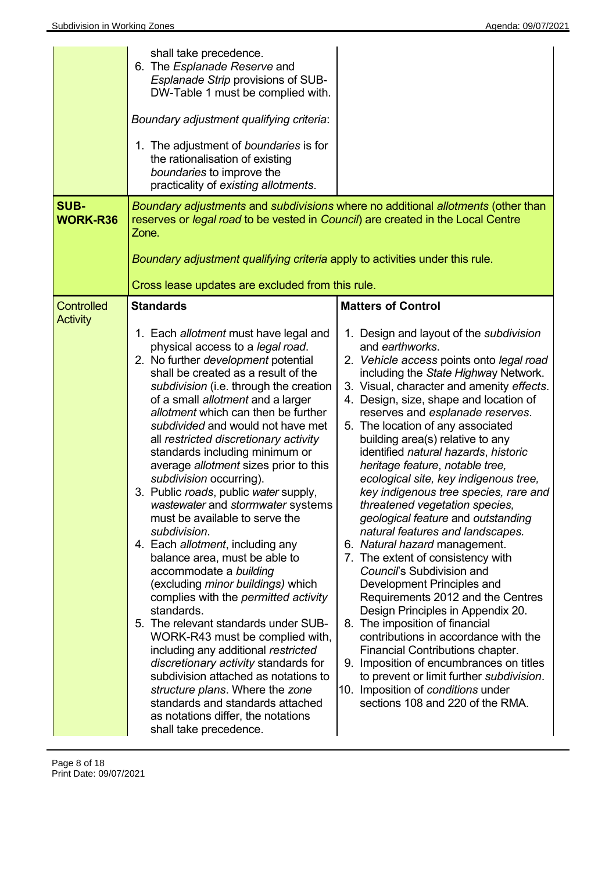| <b>SUB-</b>                          | shall take precedence.<br>6. The <i>Esplanade Reserve</i> and<br>Esplanade Strip provisions of SUB-<br>DW-Table 1 must be complied with.<br>Boundary adjustment qualifying criteria:<br>1. The adjustment of boundaries is for<br>the rationalisation of existing<br>boundaries to improve the<br>practicality of existing allotments.                                                                                                                                                                                                                                                                                                                                                                                                                                                                                                                                                                                                                                                                                                                                                                                                              | Boundary adjustments and subdivisions where no additional allotments (other than                                                                                                                                                                                                                                                                                                                                                                                                                                                                                                                                                                                                                                                                                                                                                                                                                                                                                                                                                                                                                                      |
|--------------------------------------|-----------------------------------------------------------------------------------------------------------------------------------------------------------------------------------------------------------------------------------------------------------------------------------------------------------------------------------------------------------------------------------------------------------------------------------------------------------------------------------------------------------------------------------------------------------------------------------------------------------------------------------------------------------------------------------------------------------------------------------------------------------------------------------------------------------------------------------------------------------------------------------------------------------------------------------------------------------------------------------------------------------------------------------------------------------------------------------------------------------------------------------------------------|-----------------------------------------------------------------------------------------------------------------------------------------------------------------------------------------------------------------------------------------------------------------------------------------------------------------------------------------------------------------------------------------------------------------------------------------------------------------------------------------------------------------------------------------------------------------------------------------------------------------------------------------------------------------------------------------------------------------------------------------------------------------------------------------------------------------------------------------------------------------------------------------------------------------------------------------------------------------------------------------------------------------------------------------------------------------------------------------------------------------------|
| <b>WORK-R36</b>                      | reserves or legal road to be vested in Council) are created in the Local Centre<br>Zone.                                                                                                                                                                                                                                                                                                                                                                                                                                                                                                                                                                                                                                                                                                                                                                                                                                                                                                                                                                                                                                                            |                                                                                                                                                                                                                                                                                                                                                                                                                                                                                                                                                                                                                                                                                                                                                                                                                                                                                                                                                                                                                                                                                                                       |
|                                      | Boundary adjustment qualifying criteria apply to activities under this rule.                                                                                                                                                                                                                                                                                                                                                                                                                                                                                                                                                                                                                                                                                                                                                                                                                                                                                                                                                                                                                                                                        |                                                                                                                                                                                                                                                                                                                                                                                                                                                                                                                                                                                                                                                                                                                                                                                                                                                                                                                                                                                                                                                                                                                       |
|                                      | Cross lease updates are excluded from this rule.                                                                                                                                                                                                                                                                                                                                                                                                                                                                                                                                                                                                                                                                                                                                                                                                                                                                                                                                                                                                                                                                                                    |                                                                                                                                                                                                                                                                                                                                                                                                                                                                                                                                                                                                                                                                                                                                                                                                                                                                                                                                                                                                                                                                                                                       |
| <b>Controlled</b><br><b>Activity</b> | <b>Standards</b>                                                                                                                                                                                                                                                                                                                                                                                                                                                                                                                                                                                                                                                                                                                                                                                                                                                                                                                                                                                                                                                                                                                                    | <b>Matters of Control</b>                                                                                                                                                                                                                                                                                                                                                                                                                                                                                                                                                                                                                                                                                                                                                                                                                                                                                                                                                                                                                                                                                             |
|                                      | 1. Each allotment must have legal and<br>physical access to a legal road.<br>2. No further development potential<br>shall be created as a result of the<br>subdivision (i.e. through the creation<br>of a small allotment and a larger<br>allotment which can then be further<br>subdivided and would not have met<br>all restricted discretionary activity<br>standards including minimum or<br>average allotment sizes prior to this<br>subdivision occurring).<br>3. Public roads, public water supply,<br>wastewater and stormwater systems<br>must be available to serve the<br>subdivision.<br>4. Each allotment, including any<br>balance area, must be able to<br>accommodate a building<br>(excluding <i>minor buildings</i> ) which<br>complies with the <i>permitted</i> activity<br>standards.<br>5. The relevant standards under SUB-<br>WORK-R43 must be complied with,<br>including any additional restricted<br>discretionary activity standards for<br>subdivision attached as notations to<br>structure plans. Where the zone<br>standards and standards attached<br>as notations differ, the notations<br>shall take precedence. | 1. Design and layout of the subdivision<br>and earthworks.<br>2. Vehicle access points onto legal road<br>including the State Highway Network.<br>3. Visual, character and amenity effects.<br>4. Design, size, shape and location of<br>reserves and esplanade reserves.<br>5. The location of any associated<br>building area(s) relative to any<br>identified natural hazards, historic<br>heritage feature, notable tree,<br>ecological site, key indigenous tree,<br>key indigenous tree species, rare and<br>threatened vegetation species,<br>geological feature and outstanding<br>natural features and landscapes.<br>6. Natural hazard management.<br>7. The extent of consistency with<br>Council's Subdivision and<br>Development Principles and<br>Requirements 2012 and the Centres<br>Design Principles in Appendix 20.<br>8. The imposition of financial<br>contributions in accordance with the<br>Financial Contributions chapter.<br>9. Imposition of encumbrances on titles<br>to prevent or limit further subdivision.<br>10. Imposition of conditions under<br>sections 108 and 220 of the RMA. |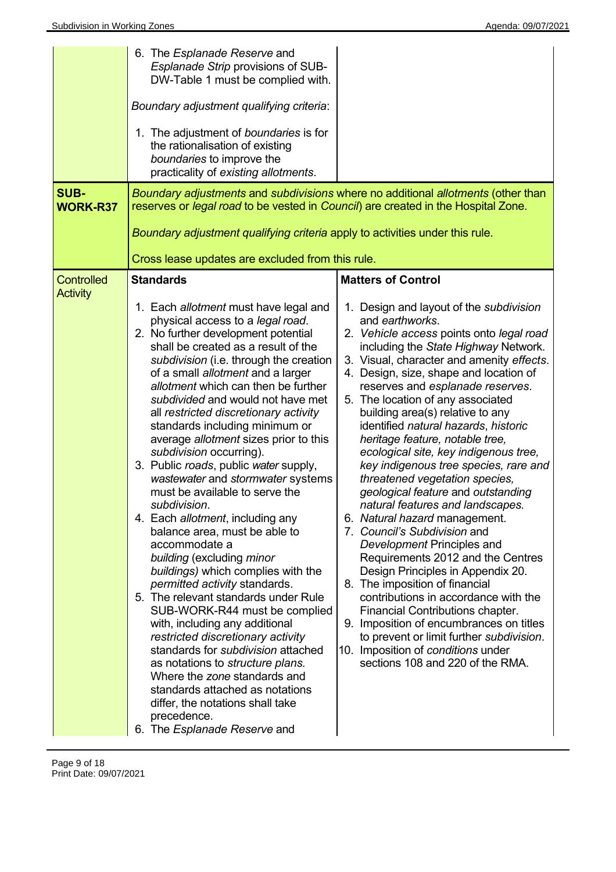| <b>SUB-</b><br><b>WORK-R37</b>       | 6. The <i>Esplanade Reserve</i> and<br>Esplanade Strip provisions of SUB-<br>DW-Table 1 must be complied with.<br>Boundary adjustment qualifying criteria:<br>1. The adjustment of boundaries is for<br>the rationalisation of existing<br>boundaries to improve the<br>practicality of existing allotments.<br>reserves or legal road to be vested in Council) are created in the Hospital Zone.<br>Boundary adjustment qualifying criteria apply to activities under this rule.                                                                                                                                                                                                                                                                                                                                                                                                                                                                                                                                                                                                                                                                                                                              | Boundary adjustments and subdivisions where no additional allotments (other than                                                                                                                                                                                                                                                                                                                                                                                                                                                                                                                                                                                                                                                                                                                                                                                                                                                                                                                                                                                                                                 |
|--------------------------------------|----------------------------------------------------------------------------------------------------------------------------------------------------------------------------------------------------------------------------------------------------------------------------------------------------------------------------------------------------------------------------------------------------------------------------------------------------------------------------------------------------------------------------------------------------------------------------------------------------------------------------------------------------------------------------------------------------------------------------------------------------------------------------------------------------------------------------------------------------------------------------------------------------------------------------------------------------------------------------------------------------------------------------------------------------------------------------------------------------------------------------------------------------------------------------------------------------------------|------------------------------------------------------------------------------------------------------------------------------------------------------------------------------------------------------------------------------------------------------------------------------------------------------------------------------------------------------------------------------------------------------------------------------------------------------------------------------------------------------------------------------------------------------------------------------------------------------------------------------------------------------------------------------------------------------------------------------------------------------------------------------------------------------------------------------------------------------------------------------------------------------------------------------------------------------------------------------------------------------------------------------------------------------------------------------------------------------------------|
|                                      | Cross lease updates are excluded from this rule.                                                                                                                                                                                                                                                                                                                                                                                                                                                                                                                                                                                                                                                                                                                                                                                                                                                                                                                                                                                                                                                                                                                                                               |                                                                                                                                                                                                                                                                                                                                                                                                                                                                                                                                                                                                                                                                                                                                                                                                                                                                                                                                                                                                                                                                                                                  |
| <b>Controlled</b><br><b>Activity</b> | <b>Standards</b><br>1. Each allotment must have legal and<br>physical access to a legal road.<br>2. No further development potential<br>shall be created as a result of the<br>subdivision (i.e. through the creation<br>of a small allotment and a larger<br>allotment which can then be further<br>subdivided and would not have met<br>all restricted discretionary activity<br>standards including minimum or<br>average allotment sizes prior to this<br>subdivision occurring).<br>3. Public roads, public water supply,<br>wastewater and stormwater systems<br>must be available to serve the<br>subdivision.<br>4. Each allotment, including any<br>balance area, must be able to<br>accommodate a<br>building (excluding minor<br>buildings) which complies with the<br>permitted activity standards.<br>5. The relevant standards under Rule<br>SUB-WORK-R44 must be complied<br>with, including any additional<br>restricted discretionary activity<br>standards for <i>subdivision</i> attached<br>as notations to <i>structure plans</i> .<br>Where the zone standards and<br>standards attached as notations<br>differ, the notations shall take<br>precedence.<br>6. The Esplanade Reserve and | <b>Matters of Control</b><br>1. Design and layout of the subdivision<br>and earthworks.<br>2. Vehicle access points onto legal road<br>including the State Highway Network.<br>3. Visual, character and amenity effects.<br>4. Design, size, shape and location of<br>reserves and esplanade reserves.<br>5. The location of any associated<br>building area(s) relative to any<br>identified natural hazards, historic<br>heritage feature, notable tree,<br>ecological site, key indigenous tree,<br>key indigenous tree species, rare and<br>threatened vegetation species,<br>geological feature and outstanding<br>natural features and landscapes.<br>6. Natural hazard management.<br>7. Council's Subdivision and<br>Development Principles and<br>Requirements 2012 and the Centres<br>Design Principles in Appendix 20.<br>8. The imposition of financial<br>contributions in accordance with the<br>Financial Contributions chapter.<br>9. Imposition of encumbrances on titles<br>to prevent or limit further subdivision.<br>10. Imposition of conditions under<br>sections 108 and 220 of the RMA. |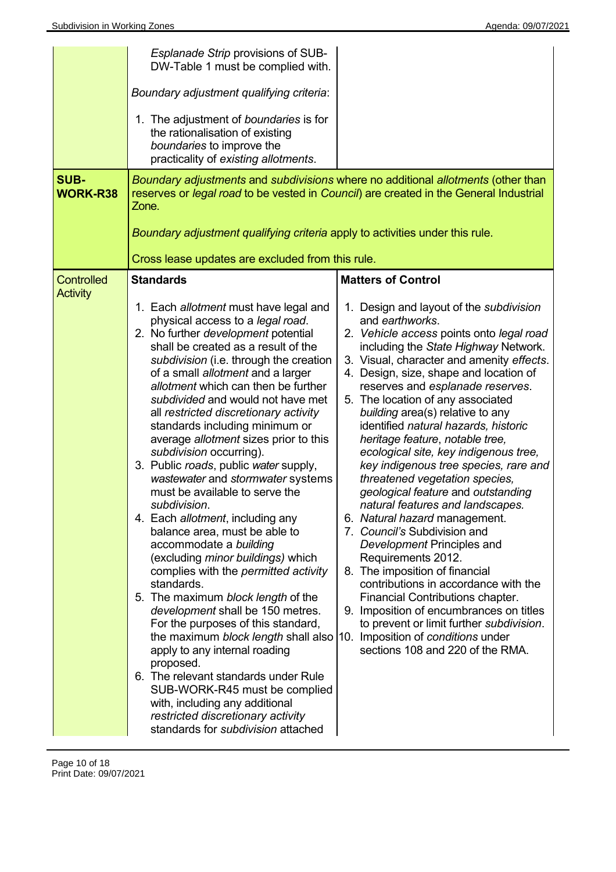| <b>SUB-</b><br><b>WORK-R38</b>       | Esplanade Strip provisions of SUB-<br>DW-Table 1 must be complied with.<br>Boundary adjustment qualifying criteria:<br>1. The adjustment of boundaries is for<br>the rationalisation of existing<br>boundaries to improve the<br>practicality of existing allotments.<br>Zone.<br>Boundary adjustment qualifying criteria apply to activities under this rule.                                                                                                                                                                                                                                                                                                                                                                                                                                                                                                                                                                                                                                                                                                                                                                                                                                                                          | Boundary adjustments and subdivisions where no additional allotments (other than<br>reserves or legal road to be vested in Council) are created in the General Industrial                                                                                                                                                                                                                                                                                                                                                                                                                                                                                                                                                                                                                                                                                                                                                                                                                                                                                    |
|--------------------------------------|-----------------------------------------------------------------------------------------------------------------------------------------------------------------------------------------------------------------------------------------------------------------------------------------------------------------------------------------------------------------------------------------------------------------------------------------------------------------------------------------------------------------------------------------------------------------------------------------------------------------------------------------------------------------------------------------------------------------------------------------------------------------------------------------------------------------------------------------------------------------------------------------------------------------------------------------------------------------------------------------------------------------------------------------------------------------------------------------------------------------------------------------------------------------------------------------------------------------------------------------|--------------------------------------------------------------------------------------------------------------------------------------------------------------------------------------------------------------------------------------------------------------------------------------------------------------------------------------------------------------------------------------------------------------------------------------------------------------------------------------------------------------------------------------------------------------------------------------------------------------------------------------------------------------------------------------------------------------------------------------------------------------------------------------------------------------------------------------------------------------------------------------------------------------------------------------------------------------------------------------------------------------------------------------------------------------|
|                                      | Cross lease updates are excluded from this rule.                                                                                                                                                                                                                                                                                                                                                                                                                                                                                                                                                                                                                                                                                                                                                                                                                                                                                                                                                                                                                                                                                                                                                                                        |                                                                                                                                                                                                                                                                                                                                                                                                                                                                                                                                                                                                                                                                                                                                                                                                                                                                                                                                                                                                                                                              |
| <b>Controlled</b><br><b>Activity</b> | <b>Standards</b><br>1. Each allotment must have legal and<br>physical access to a legal road.<br>2. No further <i>development</i> potential<br>shall be created as a result of the<br>subdivision (i.e. through the creation<br>of a small allotment and a larger<br>allotment which can then be further<br>subdivided and would not have met<br>all restricted discretionary activity<br>standards including minimum or<br>average allotment sizes prior to this<br>subdivision occurring).<br>3. Public roads, public water supply,<br>wastewater and stormwater systems<br>must be available to serve the<br>subdivision.<br>4. Each allotment, including any<br>balance area, must be able to<br>accommodate a building<br>(excluding <i>minor buildings</i> ) which<br>complies with the <i>permitted</i> activity<br>standards.<br>5. The maximum block length of the<br>development shall be 150 metres.<br>For the purposes of this standard,<br>the maximum block length shall also<br>apply to any internal roading<br>proposed.<br>6. The relevant standards under Rule<br>SUB-WORK-R45 must be complied<br>with, including any additional<br>restricted discretionary activity<br>standards for <i>subdivision</i> attached | <b>Matters of Control</b><br>1. Design and layout of the subdivision<br>and earthworks.<br>2. Vehicle access points onto legal road<br>including the State Highway Network.<br>3. Visual, character and amenity effects.<br>4. Design, size, shape and location of<br>reserves and esplanade reserves.<br>5. The location of any associated<br>building area(s) relative to any<br>identified natural hazards, historic<br>heritage feature, notable tree,<br>ecological site, key indigenous tree,<br>key indigenous tree species, rare and<br>threatened vegetation species,<br>geological feature and outstanding<br>natural features and landscapes.<br>6. Natural hazard management.<br>7. Council's Subdivision and<br>Development Principles and<br>Requirements 2012.<br>8. The imposition of financial<br>contributions in accordance with the<br>Financial Contributions chapter.<br>9. Imposition of encumbrances on titles<br>to prevent or limit further subdivision.<br>10. Imposition of conditions under<br>sections 108 and 220 of the RMA. |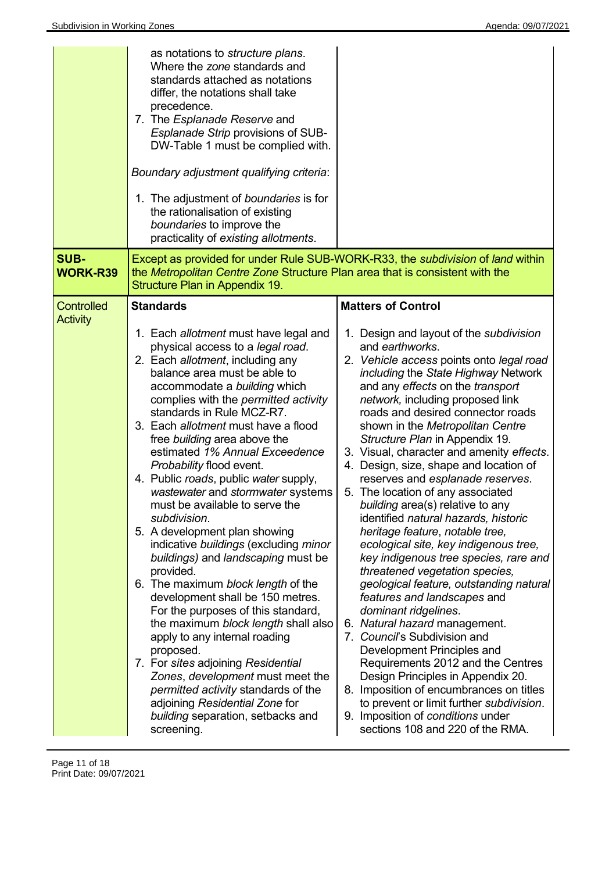| <b>SUB-</b>                          | as notations to <i>structure plans</i> .<br>Where the zone standards and<br>standards attached as notations<br>differ, the notations shall take<br>precedence.<br>7. The Esplanade Reserve and<br>Esplanade Strip provisions of SUB-<br>DW-Table 1 must be complied with.<br>Boundary adjustment qualifying criteria:<br>1. The adjustment of boundaries is for<br>the rationalisation of existing<br>boundaries to improve the<br>practicality of existing allotments.                                                                                                                                                                                                                                                                                                                                                                                                                                                                                                                                                                                         | Except as provided for under Rule SUB-WORK-R33, the <i>subdivision</i> of land within                                                                                                                                                                                                                                                                                                                                                                                                                                                                                                                                                                                                                                                                                                                                                                                                                                                                                                                                                                                                                                                                                          |
|--------------------------------------|-----------------------------------------------------------------------------------------------------------------------------------------------------------------------------------------------------------------------------------------------------------------------------------------------------------------------------------------------------------------------------------------------------------------------------------------------------------------------------------------------------------------------------------------------------------------------------------------------------------------------------------------------------------------------------------------------------------------------------------------------------------------------------------------------------------------------------------------------------------------------------------------------------------------------------------------------------------------------------------------------------------------------------------------------------------------|--------------------------------------------------------------------------------------------------------------------------------------------------------------------------------------------------------------------------------------------------------------------------------------------------------------------------------------------------------------------------------------------------------------------------------------------------------------------------------------------------------------------------------------------------------------------------------------------------------------------------------------------------------------------------------------------------------------------------------------------------------------------------------------------------------------------------------------------------------------------------------------------------------------------------------------------------------------------------------------------------------------------------------------------------------------------------------------------------------------------------------------------------------------------------------|
| <b>WORK-R39</b>                      | the Metropolitan Centre Zone Structure Plan area that is consistent with the<br>Structure Plan in Appendix 19.                                                                                                                                                                                                                                                                                                                                                                                                                                                                                                                                                                                                                                                                                                                                                                                                                                                                                                                                                  |                                                                                                                                                                                                                                                                                                                                                                                                                                                                                                                                                                                                                                                                                                                                                                                                                                                                                                                                                                                                                                                                                                                                                                                |
| <b>Controlled</b><br><b>Activity</b> | <b>Standards</b>                                                                                                                                                                                                                                                                                                                                                                                                                                                                                                                                                                                                                                                                                                                                                                                                                                                                                                                                                                                                                                                | <b>Matters of Control</b>                                                                                                                                                                                                                                                                                                                                                                                                                                                                                                                                                                                                                                                                                                                                                                                                                                                                                                                                                                                                                                                                                                                                                      |
|                                      | 1. Each allotment must have legal and<br>physical access to a legal road.<br>2. Each allotment, including any<br>balance area must be able to<br>accommodate a building which<br>complies with the permitted activity<br>standards in Rule MCZ-R7.<br>3. Each allotment must have a flood<br>free building area above the<br>estimated 1% Annual Exceedence<br>Probability flood event.<br>4. Public roads, public water supply,<br>wastewater and stormwater systems<br>must be available to serve the<br>subdivision.<br>5. A development plan showing<br>indicative buildings (excluding minor<br>buildings) and landscaping must be<br>provided.<br>6. The maximum block length of the<br>development shall be 150 metres.<br>For the purposes of this standard,<br>the maximum block length shall also<br>apply to any internal roading<br>proposed.<br>7. For sites adjoining Residential<br>Zones, development must meet the<br>permitted activity standards of the<br>adjoining Residential Zone for<br>building separation, setbacks and<br>screening. | 1. Design and layout of the subdivision<br>and earthworks.<br>2. Vehicle access points onto legal road<br>including the State Highway Network<br>and any effects on the transport<br>network, including proposed link<br>roads and desired connector roads<br>shown in the Metropolitan Centre<br>Structure Plan in Appendix 19.<br>3. Visual, character and amenity effects.<br>4. Design, size, shape and location of<br>reserves and esplanade reserves.<br>5. The location of any associated<br>building area(s) relative to any<br>identified natural hazards, historic<br>heritage feature, notable tree,<br>ecological site, key indigenous tree,<br>key indigenous tree species, rare and<br>threatened vegetation species,<br>geological feature, outstanding natural<br>features and landscapes and<br>dominant ridgelines.<br>6. Natural hazard management.<br>7. Council's Subdivision and<br>Development Principles and<br>Requirements 2012 and the Centres<br>Design Principles in Appendix 20.<br>8. Imposition of encumbrances on titles<br>to prevent or limit further subdivision.<br>9. Imposition of conditions under<br>sections 108 and 220 of the RMA. |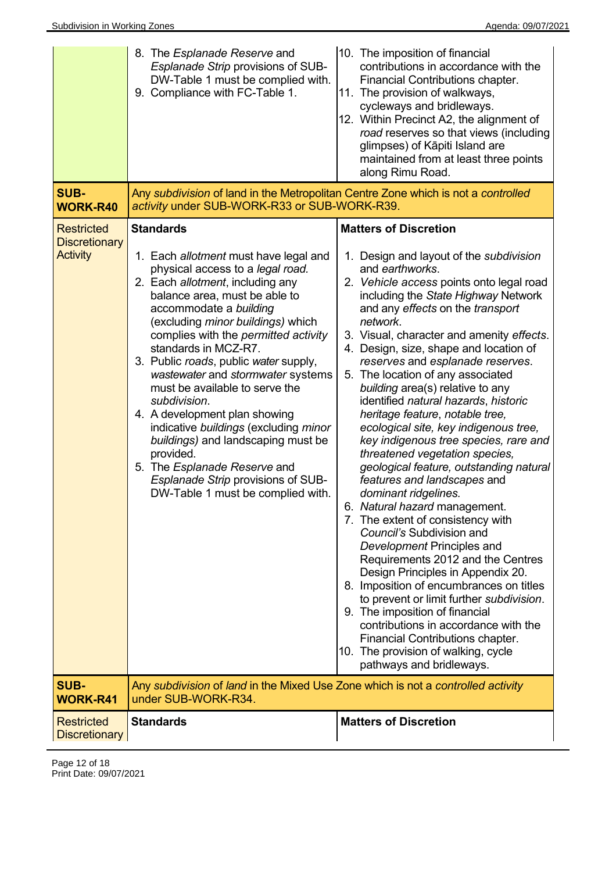| <b>SUB-</b><br><b>WORK-R40</b>                               | 8. The Esplanade Reserve and<br>Esplanade Strip provisions of SUB-<br>DW-Table 1 must be complied with.<br>9. Compliance with FC-Table 1.<br>Any subdivision of land in the Metropolitan Centre Zone which is not a controlled<br>activity under SUB-WORK-R33 or SUB-WORK-R39.                                                                                                                                                                                                                                                                                                                                                                                            | 10. The imposition of financial<br>contributions in accordance with the<br>Financial Contributions chapter.<br>11. The provision of walkways,<br>cycleways and bridleways.<br>12. Within Precinct A2, the alignment of<br>road reserves so that views (including<br>glimpses) of Kāpiti Island are<br>maintained from at least three points<br>along Rimu Road.                                                                                                                                                                                                                                                                                                                                                                                                                                                                                                                                                                                                                                                                                                                                                                                                                                                       |
|--------------------------------------------------------------|---------------------------------------------------------------------------------------------------------------------------------------------------------------------------------------------------------------------------------------------------------------------------------------------------------------------------------------------------------------------------------------------------------------------------------------------------------------------------------------------------------------------------------------------------------------------------------------------------------------------------------------------------------------------------|-----------------------------------------------------------------------------------------------------------------------------------------------------------------------------------------------------------------------------------------------------------------------------------------------------------------------------------------------------------------------------------------------------------------------------------------------------------------------------------------------------------------------------------------------------------------------------------------------------------------------------------------------------------------------------------------------------------------------------------------------------------------------------------------------------------------------------------------------------------------------------------------------------------------------------------------------------------------------------------------------------------------------------------------------------------------------------------------------------------------------------------------------------------------------------------------------------------------------|
| <b>Restricted</b><br><b>Discretionary</b><br><b>Activity</b> | <b>Standards</b><br>1. Each allotment must have legal and<br>physical access to a legal road.<br>2. Each allotment, including any<br>balance area, must be able to<br>accommodate a building<br>(excluding minor buildings) which<br>complies with the permitted activity<br>standards in MCZ-R7.<br>3. Public roads, public water supply,<br>wastewater and stormwater systems<br>must be available to serve the<br>subdivision.<br>4. A development plan showing<br>indicative buildings (excluding minor<br>buildings) and landscaping must be<br>provided.<br>5. The Esplanade Reserve and<br>Esplanade Strip provisions of SUB-<br>DW-Table 1 must be complied with. | <b>Matters of Discretion</b><br>1. Design and layout of the subdivision<br>and earthworks.<br>2. Vehicle access points onto legal road<br>including the State Highway Network<br>and any effects on the transport<br>network.<br>3. Visual, character and amenity effects.<br>4. Design, size, shape and location of<br>reserves and esplanade reserves.<br>5. The location of any associated<br>building area(s) relative to any<br>identified natural hazards, historic<br>heritage feature, notable tree,<br>ecological site, key indigenous tree,<br>key indigenous tree species, rare and<br>threatened vegetation species,<br>geological feature, outstanding natural<br>features and landscapes and<br>dominant ridgelines.<br>6. Natural hazard management.<br>7. The extent of consistency with<br>Council's Subdivision and<br>Development Principles and<br>Requirements 2012 and the Centres<br>Design Principles in Appendix 20.<br>8. Imposition of encumbrances on titles<br>to prevent or limit further subdivision.<br>9. The imposition of financial<br>contributions in accordance with the<br>Financial Contributions chapter.<br>10. The provision of walking, cycle<br>pathways and bridleways. |
| <b>SUB-</b><br><b>WORK-R41</b>                               | Any subdivision of land in the Mixed Use Zone which is not a controlled activity<br>under SUB-WORK-R34.                                                                                                                                                                                                                                                                                                                                                                                                                                                                                                                                                                   |                                                                                                                                                                                                                                                                                                                                                                                                                                                                                                                                                                                                                                                                                                                                                                                                                                                                                                                                                                                                                                                                                                                                                                                                                       |
| <b>Restricted</b><br><b>Discretionary</b>                    | <b>Standards</b>                                                                                                                                                                                                                                                                                                                                                                                                                                                                                                                                                                                                                                                          | <b>Matters of Discretion</b>                                                                                                                                                                                                                                                                                                                                                                                                                                                                                                                                                                                                                                                                                                                                                                                                                                                                                                                                                                                                                                                                                                                                                                                          |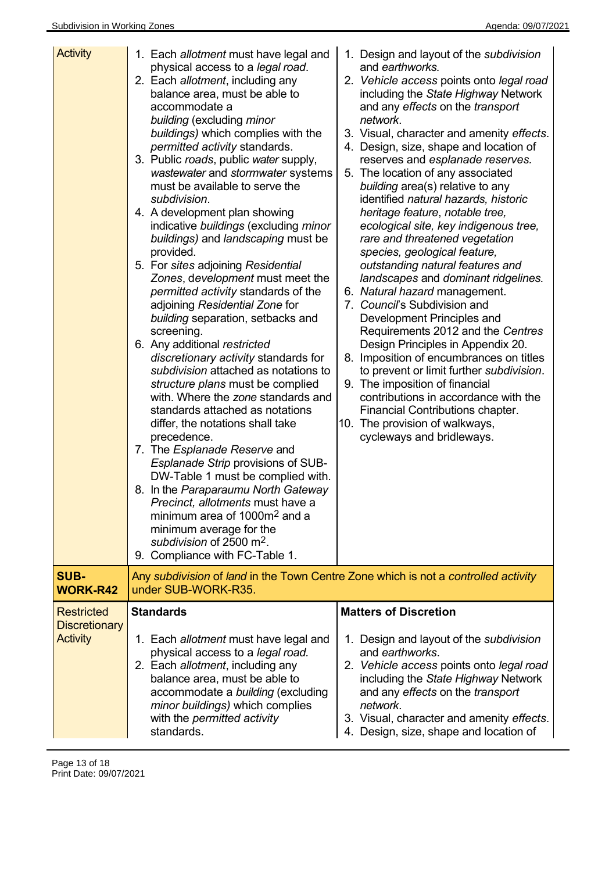| <b>Activity</b>                                              | 1. Each allotment must have legal and<br>physical access to a legal road.<br>2. Each allotment, including any<br>balance area, must be able to<br>accommodate a<br>building (excluding minor<br>buildings) which complies with the<br>permitted activity standards.<br>3. Public roads, public water supply,<br>wastewater and stormwater systems<br>must be available to serve the<br>subdivision.<br>4. A development plan showing<br>indicative buildings (excluding minor<br>buildings) and landscaping must be<br>provided.<br>5. For sites adjoining Residential<br>Zones, development must meet the<br>permitted activity standards of the<br>adjoining Residential Zone for<br>building separation, setbacks and<br>screening.<br>6. Any additional restricted<br>discretionary activity standards for<br>subdivision attached as notations to<br>structure plans must be complied<br>with. Where the zone standards and<br>standards attached as notations<br>differ, the notations shall take<br>precedence.<br>7. The Esplanade Reserve and<br>Esplanade Strip provisions of SUB-<br>DW-Table 1 must be complied with.<br>8. In the Paraparaumu North Gateway<br>Precinct, allotments must have a<br>minimum area of 1000m <sup>2</sup> and a<br>minimum average for the<br>subdivision of 2500 m <sup>2</sup> .<br>9. Compliance with FC-Table 1. | 1. Design and layout of the subdivision<br>and earthworks.<br>2. Vehicle access points onto legal road<br>including the State Highway Network<br>and any effects on the transport<br>network.<br>3. Visual, character and amenity effects.<br>4. Design, size, shape and location of<br>reserves and esplanade reserves.<br>5. The location of any associated<br>building area(s) relative to any<br>identified natural hazards, historic<br>heritage feature, notable tree,<br>ecological site, key indigenous tree,<br>rare and threatened vegetation<br>species, geological feature,<br>outstanding natural features and<br>landscapes and dominant ridgelines.<br>6. Natural hazard management.<br>7. Council's Subdivision and<br>Development Principles and<br>Requirements 2012 and the Centres<br>Design Principles in Appendix 20.<br>8. Imposition of encumbrances on titles<br>to prevent or limit further subdivision.<br>9. The imposition of financial<br>contributions in accordance with the<br>Financial Contributions chapter.<br>10. The provision of walkways,<br>cycleways and bridleways. |
|--------------------------------------------------------------|---------------------------------------------------------------------------------------------------------------------------------------------------------------------------------------------------------------------------------------------------------------------------------------------------------------------------------------------------------------------------------------------------------------------------------------------------------------------------------------------------------------------------------------------------------------------------------------------------------------------------------------------------------------------------------------------------------------------------------------------------------------------------------------------------------------------------------------------------------------------------------------------------------------------------------------------------------------------------------------------------------------------------------------------------------------------------------------------------------------------------------------------------------------------------------------------------------------------------------------------------------------------------------------------------------------------------------------------------------------|-----------------------------------------------------------------------------------------------------------------------------------------------------------------------------------------------------------------------------------------------------------------------------------------------------------------------------------------------------------------------------------------------------------------------------------------------------------------------------------------------------------------------------------------------------------------------------------------------------------------------------------------------------------------------------------------------------------------------------------------------------------------------------------------------------------------------------------------------------------------------------------------------------------------------------------------------------------------------------------------------------------------------------------------------------------------------------------------------------------------|
| <b>SUB-</b><br><b>WORK-R42</b>                               | Any subdivision of land in the Town Centre Zone which is not a controlled activity<br>under SUB-WORK-R35.                                                                                                                                                                                                                                                                                                                                                                                                                                                                                                                                                                                                                                                                                                                                                                                                                                                                                                                                                                                                                                                                                                                                                                                                                                                     |                                                                                                                                                                                                                                                                                                                                                                                                                                                                                                                                                                                                                                                                                                                                                                                                                                                                                                                                                                                                                                                                                                                 |
| <b>Restricted</b><br><b>Discretionary</b><br><b>Activity</b> | <b>Standards</b><br>1. Each allotment must have legal and<br>physical access to a legal road.<br>2. Each allotment, including any<br>balance area, must be able to<br>accommodate a building (excluding<br>minor buildings) which complies                                                                                                                                                                                                                                                                                                                                                                                                                                                                                                                                                                                                                                                                                                                                                                                                                                                                                                                                                                                                                                                                                                                    | <b>Matters of Discretion</b><br>1. Design and layout of the <i>subdivision</i><br>and earthworks.<br>2. Vehicle access points onto legal road<br>including the State Highway Network<br>and any effects on the transport<br>network.                                                                                                                                                                                                                                                                                                                                                                                                                                                                                                                                                                                                                                                                                                                                                                                                                                                                            |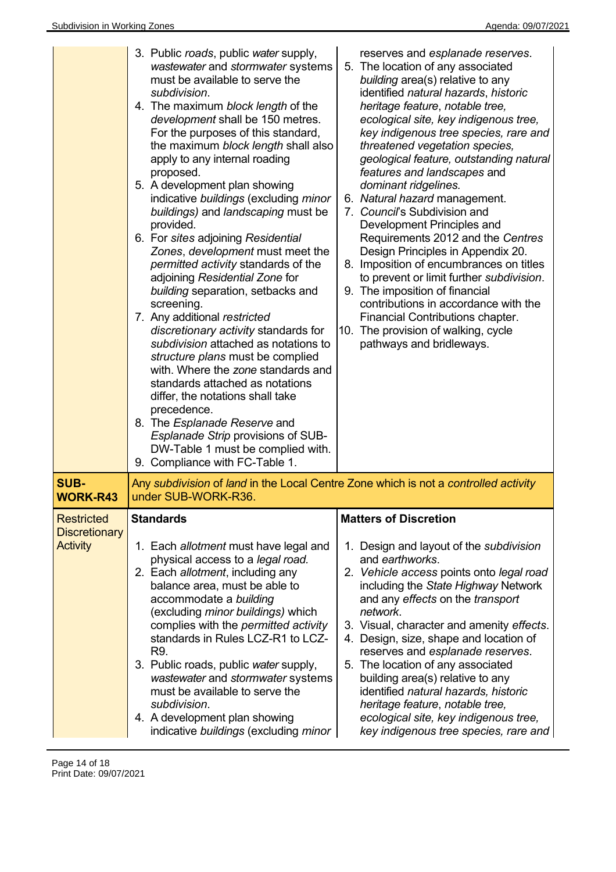|                                                              | 3. Public roads, public water supply,<br>wastewater and stormwater systems<br>must be available to serve the<br>subdivision.<br>4. The maximum block length of the<br>development shall be 150 metres.<br>For the purposes of this standard,<br>the maximum block length shall also<br>apply to any internal roading<br>proposed.<br>5. A development plan showing<br>indicative buildings (excluding minor<br>buildings) and landscaping must be<br>provided.<br>6. For sites adjoining Residential<br>Zones, development must meet the<br>permitted activity standards of the<br>adjoining Residential Zone for<br>building separation, setbacks and<br>screening.<br>7. Any additional restricted<br>discretionary activity standards for<br>subdivision attached as notations to<br>structure plans must be complied<br>with. Where the zone standards and<br>standards attached as notations<br>differ, the notations shall take<br>precedence.<br>8. The Esplanade Reserve and<br>Esplanade Strip provisions of SUB-<br>DW-Table 1 must be complied with.<br>9. Compliance with FC-Table 1. | reserves and esplanade reserves.<br>5. The location of any associated<br>building area(s) relative to any<br>identified natural hazards, historic<br>heritage feature, notable tree,<br>ecological site, key indigenous tree,<br>key indigenous tree species, rare and<br>threatened vegetation species,<br>geological feature, outstanding natural<br>features and landscapes and<br>dominant ridgelines.<br>6. Natural hazard management.<br>7. Council's Subdivision and<br>Development Principles and<br>Requirements 2012 and the Centres<br>Design Principles in Appendix 20.<br>8. Imposition of encumbrances on titles<br>to prevent or limit further subdivision.<br>9. The imposition of financial<br>contributions in accordance with the<br>Financial Contributions chapter.<br>10. The provision of walking, cycle<br>pathways and bridleways. |
|--------------------------------------------------------------|---------------------------------------------------------------------------------------------------------------------------------------------------------------------------------------------------------------------------------------------------------------------------------------------------------------------------------------------------------------------------------------------------------------------------------------------------------------------------------------------------------------------------------------------------------------------------------------------------------------------------------------------------------------------------------------------------------------------------------------------------------------------------------------------------------------------------------------------------------------------------------------------------------------------------------------------------------------------------------------------------------------------------------------------------------------------------------------------------|-------------------------------------------------------------------------------------------------------------------------------------------------------------------------------------------------------------------------------------------------------------------------------------------------------------------------------------------------------------------------------------------------------------------------------------------------------------------------------------------------------------------------------------------------------------------------------------------------------------------------------------------------------------------------------------------------------------------------------------------------------------------------------------------------------------------------------------------------------------|
| SUB-<br><b>WORK-R43</b>                                      | Any subdivision of land in the Local Centre Zone which is not a controlled activity<br>under SUB-WORK-R36.                                                                                                                                                                                                                                                                                                                                                                                                                                                                                                                                                                                                                                                                                                                                                                                                                                                                                                                                                                                        |                                                                                                                                                                                                                                                                                                                                                                                                                                                                                                                                                                                                                                                                                                                                                                                                                                                             |
| <b>Restricted</b><br><b>Discretionary</b><br><b>Activity</b> | <b>Standards</b><br>1. Each allotment must have legal and<br>physical access to a legal road.<br>2. Each allotment, including any<br>balance area, must be able to<br>accommodate a building<br>(excluding minor buildings) which<br>complies with the permitted activity<br>standards in Rules LCZ-R1 to LCZ-<br>R9.<br>3. Public roads, public water supply,<br>wastewater and stormwater systems<br>must be available to serve the<br>subdivision.<br>4. A development plan showing<br>indicative buildings (excluding minor                                                                                                                                                                                                                                                                                                                                                                                                                                                                                                                                                                   | <b>Matters of Discretion</b><br>1. Design and layout of the subdivision<br>and earthworks.<br>2. Vehicle access points onto legal road<br>including the State Highway Network<br>and any effects on the transport<br>network.<br>3. Visual, character and amenity effects.<br>4. Design, size, shape and location of<br>reserves and esplanade reserves.<br>5. The location of any associated<br>building area(s) relative to any<br>identified natural hazards, historic<br>heritage feature, notable tree,<br>ecological site, key indigenous tree,<br>key indigenous tree species, rare and                                                                                                                                                                                                                                                              |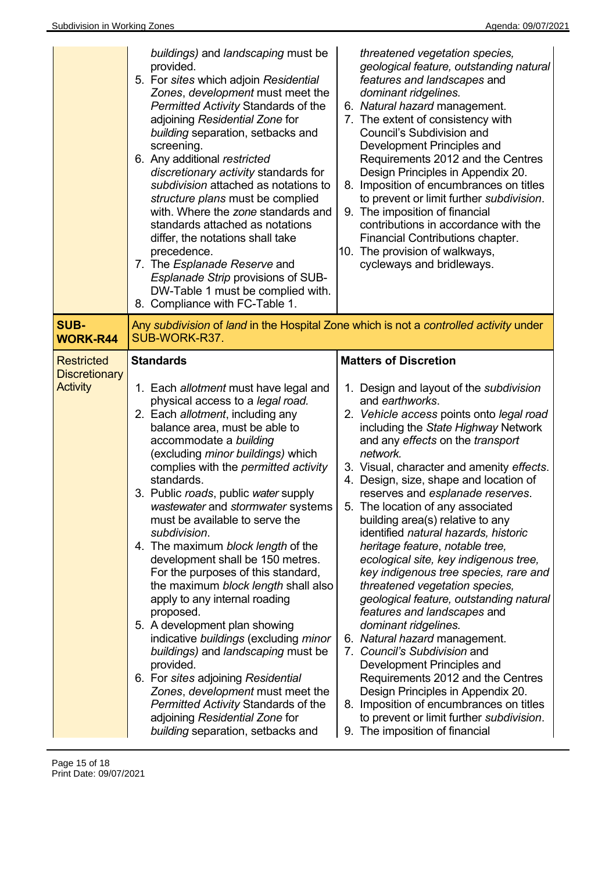|                                                              | buildings) and landscaping must be<br>provided.<br>5. For sites which adjoin Residential<br>Zones, development must meet the<br>Permitted Activity Standards of the<br>adjoining Residential Zone for<br>building separation, setbacks and<br>screening.<br>6. Any additional restricted<br>discretionary activity standards for<br>subdivision attached as notations to<br>structure plans must be complied<br>with. Where the zone standards and<br>standards attached as notations<br>differ, the notations shall take<br>precedence.<br>7. The Esplanade Reserve and<br>Esplanade Strip provisions of SUB-<br>DW-Table 1 must be complied with.<br>8. Compliance with FC-Table 1.                                                                                                                                                                                                                                                            | threatened vegetation species,<br>geological feature, outstanding natural<br>features and landscapes and<br>dominant ridgelines.<br>6. Natural hazard management.<br>7. The extent of consistency with<br>Council's Subdivision and<br>Development Principles and<br>Requirements 2012 and the Centres<br>Design Principles in Appendix 20.<br>8. Imposition of encumbrances on titles<br>to prevent or limit further subdivision.<br>9. The imposition of financial<br>contributions in accordance with the<br>Financial Contributions chapter.<br>10. The provision of walkways,<br>cycleways and bridleways.                                                                                                                                                                                                                                                                                                                                                                                                                      |
|--------------------------------------------------------------|--------------------------------------------------------------------------------------------------------------------------------------------------------------------------------------------------------------------------------------------------------------------------------------------------------------------------------------------------------------------------------------------------------------------------------------------------------------------------------------------------------------------------------------------------------------------------------------------------------------------------------------------------------------------------------------------------------------------------------------------------------------------------------------------------------------------------------------------------------------------------------------------------------------------------------------------------|--------------------------------------------------------------------------------------------------------------------------------------------------------------------------------------------------------------------------------------------------------------------------------------------------------------------------------------------------------------------------------------------------------------------------------------------------------------------------------------------------------------------------------------------------------------------------------------------------------------------------------------------------------------------------------------------------------------------------------------------------------------------------------------------------------------------------------------------------------------------------------------------------------------------------------------------------------------------------------------------------------------------------------------|
| <b>SUB-</b><br><b>WORK-R44</b>                               | SUB-WORK-R37.                                                                                                                                                                                                                                                                                                                                                                                                                                                                                                                                                                                                                                                                                                                                                                                                                                                                                                                                    | Any subdivision of land in the Hospital Zone which is not a controlled activity under                                                                                                                                                                                                                                                                                                                                                                                                                                                                                                                                                                                                                                                                                                                                                                                                                                                                                                                                                |
| <b>Restricted</b><br><b>Discretionary</b><br><b>Activity</b> | <b>Standards</b><br>1. Each allotment must have legal and<br>physical access to a legal road.<br>2. Each allotment, including any<br>balance area, must be able to<br>accommodate a building<br>(excluding minor buildings) which<br>complies with the permitted activity<br>standards.<br>3. Public roads, public water supply<br>wastewater and stormwater systems<br>must be available to serve the<br>subdivision.<br>4. The maximum block length of the<br>development shall be 150 metres.<br>For the purposes of this standard,<br>the maximum block length shall also<br>apply to any internal roading<br>proposed.<br>5. A development plan showing<br>indicative buildings (excluding minor<br>buildings) and landscaping must be<br>provided.<br>6. For sites adjoining Residential<br>Zones, development must meet the<br>Permitted Activity Standards of the<br>adjoining Residential Zone for<br>building separation, setbacks and | <b>Matters of Discretion</b><br>1. Design and layout of the subdivision<br>and earthworks.<br>2. Vehicle access points onto legal road<br>including the State Highway Network<br>and any effects on the transport<br>network.<br>3. Visual, character and amenity effects.<br>4. Design, size, shape and location of<br>reserves and esplanade reserves.<br>5. The location of any associated<br>building area(s) relative to any<br>identified natural hazards, historic<br>heritage feature, notable tree,<br>ecological site, key indigenous tree,<br>key indigenous tree species, rare and<br>threatened vegetation species,<br>geological feature, outstanding natural<br>features and landscapes and<br>dominant ridgelines.<br>6. Natural hazard management.<br>7. Council's Subdivision and<br>Development Principles and<br>Requirements 2012 and the Centres<br>Design Principles in Appendix 20.<br>8. Imposition of encumbrances on titles<br>to prevent or limit further subdivision.<br>9. The imposition of financial |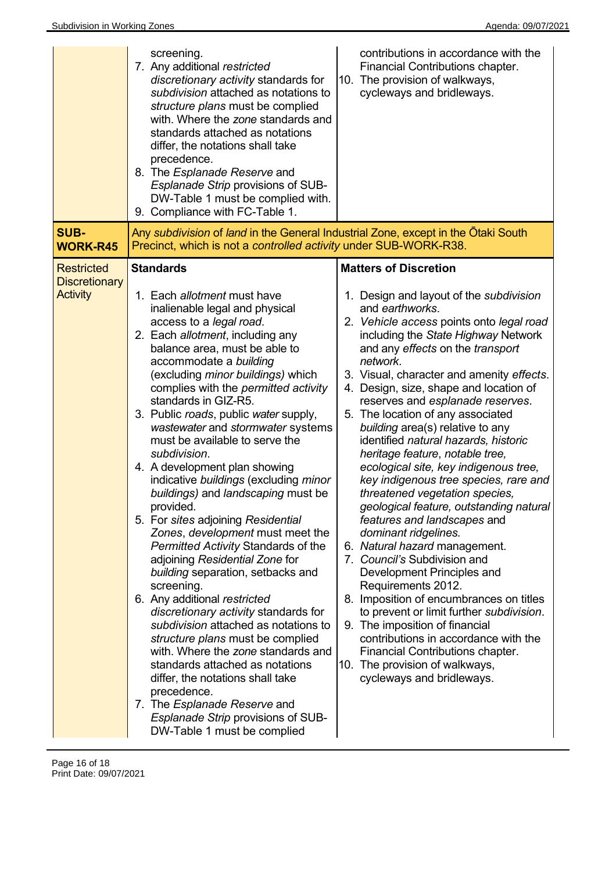|                                                              | screening.<br>7. Any additional restricted<br>discretionary activity standards for<br>subdivision attached as notations to<br>structure plans must be complied<br>with. Where the zone standards and<br>standards attached as notations<br>differ, the notations shall take<br>precedence.<br>8. The Esplanade Reserve and<br>Esplanade Strip provisions of SUB-<br>DW-Table 1 must be complied with.<br>9. Compliance with FC-Table 1.                                                                                                                                                                                                                                                                                                                                                                                                                                                                                                                                                                                                                                                                                                                                  | contributions in accordance with the<br>Financial Contributions chapter.<br>10. The provision of walkways,<br>cycleways and bridleways.                                                                                                                                                                                                                                                                                                                                                                                                                                                                                                                                                                                                                                                                                                                                                                                                                                                                                                                                                                                     |
|--------------------------------------------------------------|--------------------------------------------------------------------------------------------------------------------------------------------------------------------------------------------------------------------------------------------------------------------------------------------------------------------------------------------------------------------------------------------------------------------------------------------------------------------------------------------------------------------------------------------------------------------------------------------------------------------------------------------------------------------------------------------------------------------------------------------------------------------------------------------------------------------------------------------------------------------------------------------------------------------------------------------------------------------------------------------------------------------------------------------------------------------------------------------------------------------------------------------------------------------------|-----------------------------------------------------------------------------------------------------------------------------------------------------------------------------------------------------------------------------------------------------------------------------------------------------------------------------------------------------------------------------------------------------------------------------------------------------------------------------------------------------------------------------------------------------------------------------------------------------------------------------------------------------------------------------------------------------------------------------------------------------------------------------------------------------------------------------------------------------------------------------------------------------------------------------------------------------------------------------------------------------------------------------------------------------------------------------------------------------------------------------|
| SUB-<br><b>WORK-R45</b>                                      | Any subdivision of land in the General Industrial Zone, except in the Otaki South<br>Precinct, which is not a controlled activity under SUB-WORK-R38.                                                                                                                                                                                                                                                                                                                                                                                                                                                                                                                                                                                                                                                                                                                                                                                                                                                                                                                                                                                                                    |                                                                                                                                                                                                                                                                                                                                                                                                                                                                                                                                                                                                                                                                                                                                                                                                                                                                                                                                                                                                                                                                                                                             |
| <b>Restricted</b><br><b>Discretionary</b><br><b>Activity</b> | <b>Standards</b><br>1. Each allotment must have<br>inalienable legal and physical<br>access to a legal road.<br>2. Each allotment, including any<br>balance area, must be able to<br>accommodate a building<br>(excluding minor buildings) which<br>complies with the permitted activity<br>standards in GIZ-R5.<br>3. Public roads, public water supply,<br>wastewater and stormwater systems<br>must be available to serve the<br>subdivision.<br>4. A development plan showing<br>indicative buildings (excluding minor<br>buildings) and landscaping must be<br>provided.<br>5. For sites adjoining Residential<br>Zones, development must meet the<br>Permitted Activity Standards of the<br>adjoining Residential Zone for<br>building separation, setbacks and<br>screening.<br>6. Any additional restricted<br>discretionary activity standards for<br>subdivision attached as notations to<br>structure plans must be complied<br>with. Where the zone standards and<br>standards attached as notations<br>differ, the notations shall take<br>precedence.<br>7. The Esplanade Reserve and<br>Esplanade Strip provisions of SUB-<br>DW-Table 1 must be complied | <b>Matters of Discretion</b><br>1. Design and layout of the subdivision<br>and earthworks.<br>2. Vehicle access points onto legal road<br>including the State Highway Network<br>and any effects on the transport<br>network.<br>3. Visual, character and amenity effects.<br>4. Design, size, shape and location of<br>reserves and esplanade reserves.<br>5. The location of any associated<br>building area(s) relative to any<br>identified natural hazards, historic<br>heritage feature, notable tree,<br>ecological site, key indigenous tree,<br>key indigenous tree species, rare and<br>threatened vegetation species,<br>geological feature, outstanding natural<br>features and landscapes and<br>dominant ridgelines.<br>6. Natural hazard management.<br>7. Council's Subdivision and<br>Development Principles and<br>Requirements 2012.<br>8. Imposition of encumbrances on titles<br>to prevent or limit further subdivision.<br>9. The imposition of financial<br>contributions in accordance with the<br>Financial Contributions chapter.<br>10. The provision of walkways,<br>cycleways and bridleways. |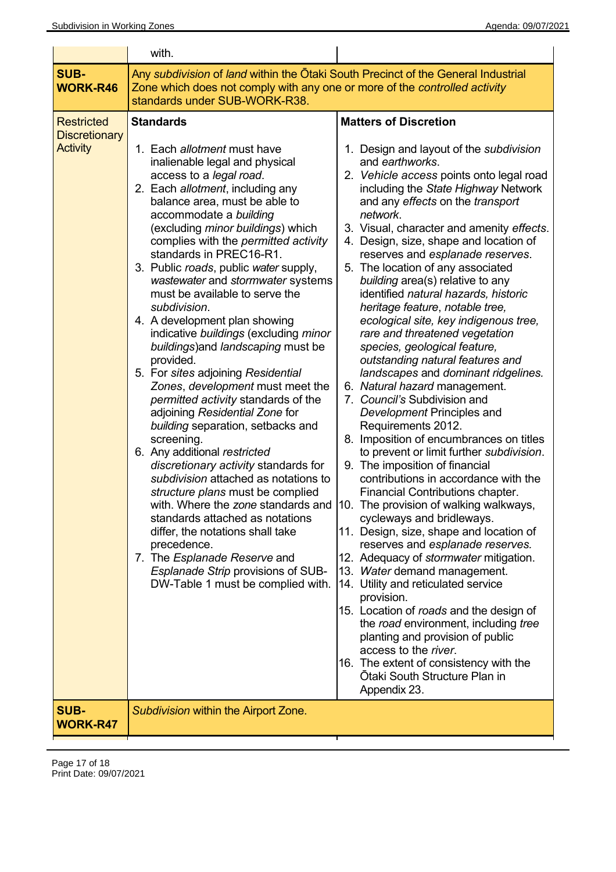|                                                              | with.                                                                                                                                                                                                                                                                                                                                                                                                                                                                                                                                                                                                                                                                                                                                                                                                                                                                                                                                                                                                                                                                                                                                                                             |                                                                                                                                                                                                                                                                                                                                                                                                                                                                                                                                                                                                                                                                                                                                                                                                                                                                                                                                                                                                                                                                                                                                                                                                                                                                                                                                                                                                                                                                                                                                                             |
|--------------------------------------------------------------|-----------------------------------------------------------------------------------------------------------------------------------------------------------------------------------------------------------------------------------------------------------------------------------------------------------------------------------------------------------------------------------------------------------------------------------------------------------------------------------------------------------------------------------------------------------------------------------------------------------------------------------------------------------------------------------------------------------------------------------------------------------------------------------------------------------------------------------------------------------------------------------------------------------------------------------------------------------------------------------------------------------------------------------------------------------------------------------------------------------------------------------------------------------------------------------|-------------------------------------------------------------------------------------------------------------------------------------------------------------------------------------------------------------------------------------------------------------------------------------------------------------------------------------------------------------------------------------------------------------------------------------------------------------------------------------------------------------------------------------------------------------------------------------------------------------------------------------------------------------------------------------------------------------------------------------------------------------------------------------------------------------------------------------------------------------------------------------------------------------------------------------------------------------------------------------------------------------------------------------------------------------------------------------------------------------------------------------------------------------------------------------------------------------------------------------------------------------------------------------------------------------------------------------------------------------------------------------------------------------------------------------------------------------------------------------------------------------------------------------------------------------|
| <b>SUB-</b><br><b>WORK-R46</b>                               | Any subdivision of land within the Otaki South Precinct of the General Industrial<br>Zone which does not comply with any one or more of the controlled activity<br>standards under SUB-WORK-R38.                                                                                                                                                                                                                                                                                                                                                                                                                                                                                                                                                                                                                                                                                                                                                                                                                                                                                                                                                                                  |                                                                                                                                                                                                                                                                                                                                                                                                                                                                                                                                                                                                                                                                                                                                                                                                                                                                                                                                                                                                                                                                                                                                                                                                                                                                                                                                                                                                                                                                                                                                                             |
| <b>Restricted</b><br><b>Discretionary</b><br><b>Activity</b> | <b>Standards</b><br>1. Each allotment must have<br>inalienable legal and physical<br>access to a legal road.<br>2. Each allotment, including any<br>balance area, must be able to<br>accommodate a building<br>(excluding minor buildings) which<br>complies with the permitted activity<br>standards in PREC16-R1.<br>3. Public roads, public water supply,<br>wastewater and stormwater systems<br>must be available to serve the<br>subdivision.<br>4. A development plan showing<br>indicative buildings (excluding minor<br>buildings) and landscaping must be<br>provided.<br>5. For sites adjoining Residential<br>Zones, development must meet the<br>permitted activity standards of the<br>adjoining Residential Zone for<br>building separation, setbacks and<br>screening.<br>6. Any additional restricted<br>discretionary activity standards for<br>subdivision attached as notations to<br>structure plans must be complied<br>with. Where the zone standards and<br>standards attached as notations<br>differ, the notations shall take<br>precedence.<br>7. The Esplanade Reserve and<br>Esplanade Strip provisions of SUB-<br>DW-Table 1 must be complied with. | <b>Matters of Discretion</b><br>1. Design and layout of the subdivision<br>and earthworks.<br>2. Vehicle access points onto legal road<br>including the State Highway Network<br>and any effects on the transport<br>network.<br>3. Visual, character and amenity effects.<br>4. Design, size, shape and location of<br>reserves and esplanade reserves.<br>5. The location of any associated<br>building area(s) relative to any<br>identified natural hazards, historic<br>heritage feature, notable tree,<br>ecological site, key indigenous tree,<br>rare and threatened vegetation<br>species, geological feature,<br>outstanding natural features and<br>landscapes and dominant ridgelines.<br>6. Natural hazard management.<br>7. Council's Subdivision and<br>Development Principles and<br>Requirements 2012.<br>8. Imposition of encumbrances on titles<br>to prevent or limit further subdivision.<br>9. The imposition of financial<br>contributions in accordance with the<br>Financial Contributions chapter.<br>10. The provision of walking walkways,<br>cycleways and bridleways.<br>11. Design, size, shape and location of<br>reserves and esplanade reserves.<br>12. Adequacy of stormwater mitigation.<br>13. Water demand management.<br>14. Utility and reticulated service<br>provision.<br>15. Location of roads and the design of<br>the road environment, including tree<br>planting and provision of public<br>access to the river.<br>16. The extent of consistency with the<br>Ōtaki South Structure Plan in<br>Appendix 23. |
| <b>SUB-</b><br><b>WORK-R47</b>                               | Subdivision within the Airport Zone.                                                                                                                                                                                                                                                                                                                                                                                                                                                                                                                                                                                                                                                                                                                                                                                                                                                                                                                                                                                                                                                                                                                                              |                                                                                                                                                                                                                                                                                                                                                                                                                                                                                                                                                                                                                                                                                                                                                                                                                                                                                                                                                                                                                                                                                                                                                                                                                                                                                                                                                                                                                                                                                                                                                             |